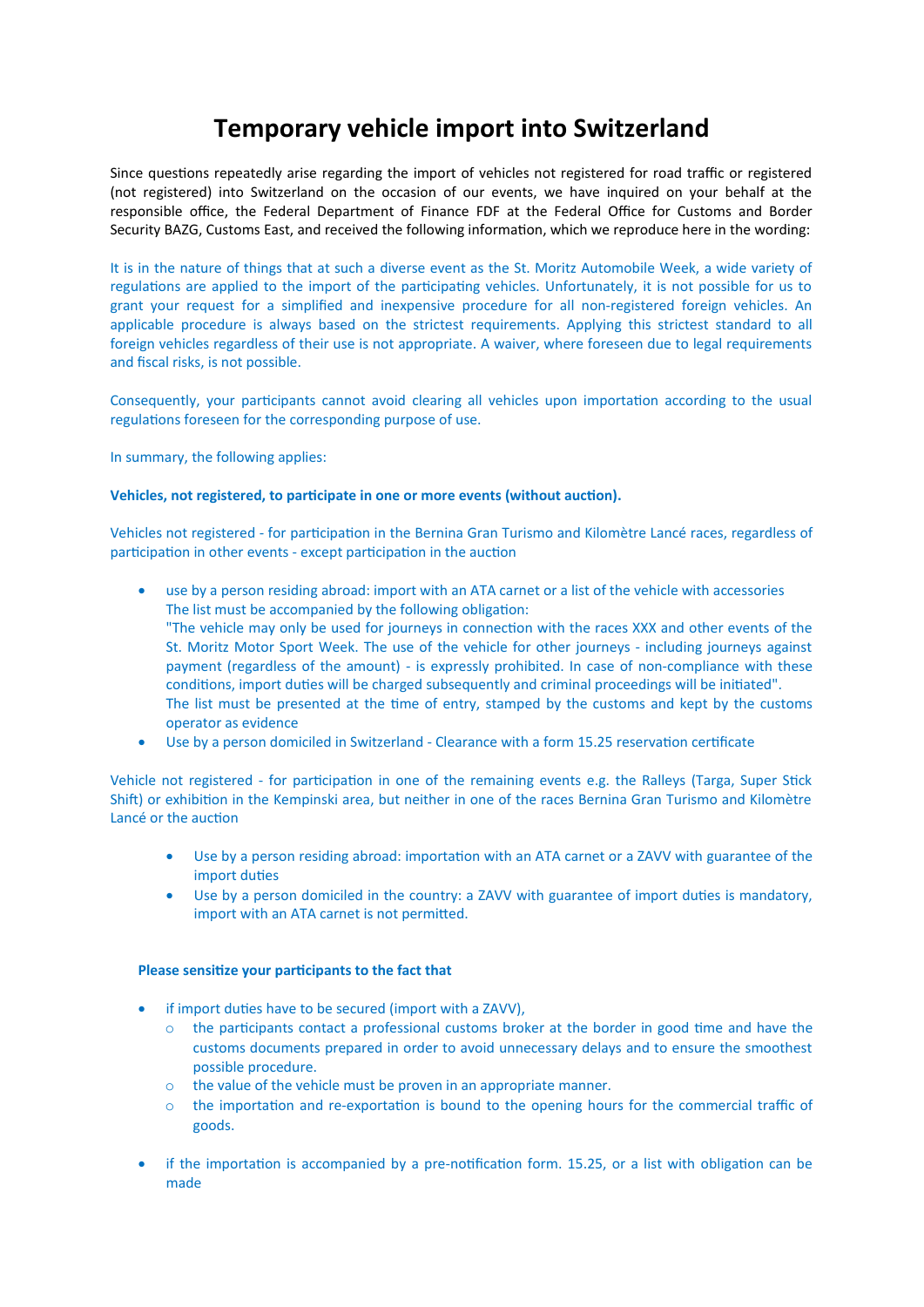## **Temporary vehicle import into Switzerland**

Since questions repeatedly arise regarding the import of vehicles not registered for road traffic or registered (not registered) into Switzerland on the occasion of our events, we have inquired on your behalf at the responsible office, the Federal Department of Finance FDF at the Federal Office for Customs and Border Security BAZG, Customs East, and received the following information, which we reproduce here in the wording:

It is in the nature of things that at such a diverse event as the St. Moritz Automobile Week, a wide variety of regulations are applied to the import of the participating vehicles. Unfortunately, it is not possible for us to grant your request for a simplified and inexpensive procedure for all non-registered foreign vehicles. An applicable procedure is always based on the strictest requirements. Applying this strictest standard to all foreign vehicles regardless of their use is not appropriate. A waiver, where foreseen due to legal requirements and fiscal risks, is not possible.

Consequently, your participants cannot avoid clearing all vehicles upon importation according to the usual regulations foreseen for the corresponding purpose of use.

In summary, the following applies:

## **Vehicles, not registered, to participate in one or more events (without auction).**

Vehicles not registered - for participation in the Bernina Gran Turismo and Kilomètre Lancé races, regardless of participation in other events - except participation in the auction

- use by a person residing abroad: import with an ATA carnet or a list of the vehicle with accessories The list must be accompanied by the following obligation: "The vehicle may only be used for journeys in connection with the races XXX and other events of the St. Moritz Motor Sport Week. The use of the vehicle for other journeys - including journeys against payment (regardless of the amount) - is expressly prohibited. In case of non-compliance with these conditions, import duties will be charged subsequently and criminal proceedings will be initiated". The list must be presented at the time of entry, stamped by the customs and kept by the customs operator as evidence
- Use by a person domiciled in Switzerland Clearance with a form 15.25 reservation certificate

Vehicle not registered - for participation in one of the remaining events e.g. the Ralleys (Targa, Super Stick Shift) or exhibition in the Kempinski area, but neither in one of the races Bernina Gran Turismo and Kilomètre Lancé or the auction

- Use by a person residing abroad: importation with an ATA carnet or a ZAVV with guarantee of the import duties
- Use by a person domiciled in the country: a ZAVV with guarantee of import duties is mandatory, import with an ATA carnet is not permitted.

## **Please sensitize your participants to the fact that**

- if import duties have to be secured (import with a ZAVV),
	- $\circ$  the participants contact a professional customs broker at the border in good time and have the customs documents prepared in order to avoid unnecessary delays and to ensure the smoothest possible procedure.
	- o the value of the vehicle must be proven in an appropriate manner.
	- o the importation and re-exportation is bound to the opening hours for the commercial traffic of goods.
- if the importation is accompanied by a pre-notification form. 15.25, or a list with obligation can be made